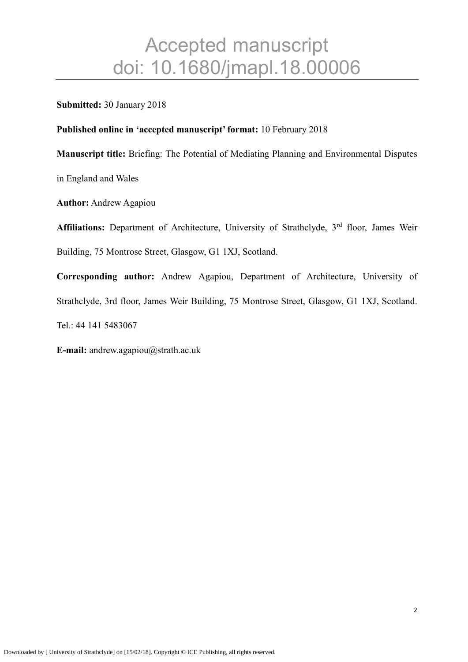#### **Submitted:** 30 January 2018

#### **Published online in 'accepted manuscript' format:** 10 February 2018

**Manuscript title:** Briefing: The Potential of Mediating Planning and Environmental Disputes

in England and Wales

**Author:** Andrew Agapiou

Affiliations: Department of Architecture, University of Strathclyde, 3<sup>rd</sup> floor, James Weir Building, 75 Montrose Street, Glasgow, G1 1XJ, Scotland.

**Corresponding author:** Andrew Agapiou, Department of Architecture, University of Strathclyde, 3rd floor, James Weir Building, 75 Montrose Street, Glasgow, G1 1XJ, Scotland. Tel.: 44 141 5483067

**E-mail:** [andrew.agapiou@strath.ac.uk](mailto:andrew.agapiou@strath.ac.uk)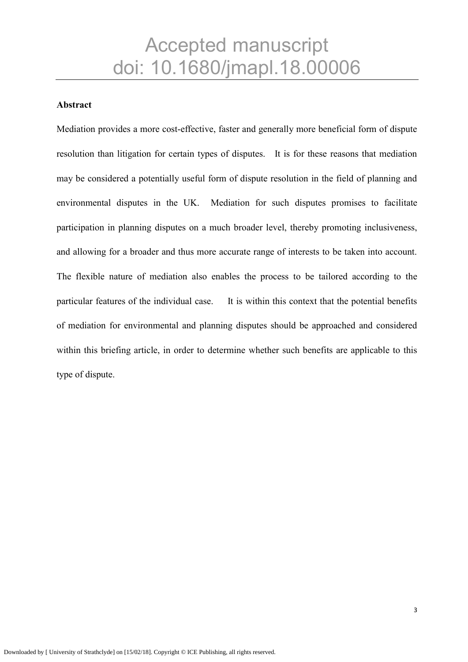#### **Abstract**

Mediation provides a more cost-effective, faster and generally more beneficial form of dispute resolution than litigation for certain types of disputes. It is for these reasons that mediation may be considered a potentially useful form of dispute resolution in the field of planning and environmental disputes in the UK. Mediation for such disputes promises to facilitate participation in planning disputes on a much broader level, thereby promoting inclusiveness, and allowing for a broader and thus more accurate range of interests to be taken into account. The flexible nature of mediation also enables the process to be tailored according to the particular features of the individual case. It is within this context that the potential benefits of mediation for environmental and planning disputes should be approached and considered within this briefing article, in order to determine whether such benefits are applicable to this type of dispute.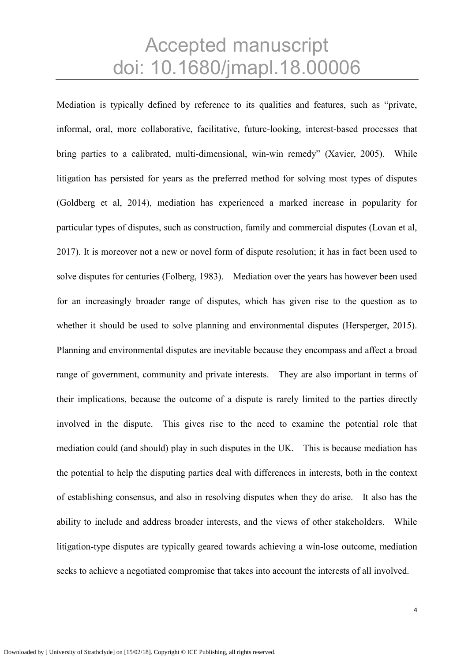Mediation is typically defined by reference to its qualities and features, such as "private, informal, oral, more collaborative, facilitative, future-looking, interest-based processes that bring parties to a calibrated, multi-dimensional, win-win remedy" (Xavier, 2005). While litigation has persisted for years as the preferred method for solving most types of disputes (Goldberg et al, 2014), mediation has experienced a marked increase in popularity for particular types of disputes, such as construction, family and commercial disputes (Lovan et al, 2017). It is moreover not a new or novel form of dispute resolution; it has in fact been used to solve disputes for centuries (Folberg, 1983). Mediation over the years has however been used for an increasingly broader range of disputes, which has given rise to the question as to whether it should be used to solve planning and environmental disputes (Hersperger, 2015). Planning and environmental disputes are inevitable because they encompass and affect a broad range of government, community and private interests. They are also important in terms of their implications, because the outcome of a dispute is rarely limited to the parties directly involved in the dispute. This gives rise to the need to examine the potential role that mediation could (and should) play in such disputes in the UK. This is because mediation has the potential to help the disputing parties deal with differences in interests, both in the context of establishing consensus, and also in resolving disputes when they do arise. It also has the ability to include and address broader interests, and the views of other stakeholders. While litigation-type disputes are typically geared towards achieving a win-lose outcome, mediation seeks to achieve a negotiated compromise that takes into account the interests of all involved.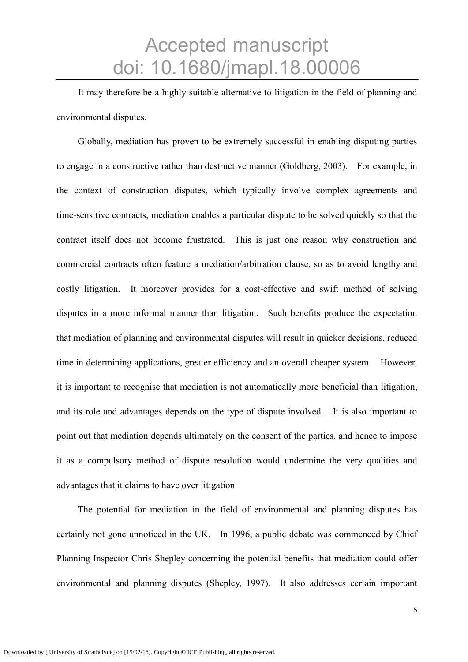It may therefore be a highly suitable alternative to litigation in the field of planning and environmental disputes.

Globally, mediation has proven to be extremely successful in enabling disputing parties to engage in a constructive rather than destructive manner (Goldberg, 2003). For example, in the context of construction disputes, which typically involve complex agreements and time-sensitive contracts, mediation enables a particular dispute to be solved quickly so that the contract itself does not become frustrated. This is just one reason why construction and commercial contracts often feature a mediation/arbitration clause, so as to avoid lengthy and costly litigation. It moreover provides for a cost-effective and swift method of solving disputes in a more informal manner than litigation. Such benefits produce the expectation that mediation of planning and environmental disputes will result in quicker decisions, reduced time in determining applications, greater efficiency and an overall cheaper system. However, it is important to recognise that mediation is not automatically more beneficial than litigation, and its role and advantages depends on the type of dispute involved. It is also important to point out that mediation depends ultimately on the consent of the parties, and hence to impose it as a compulsory method of dispute resolution would undermine the very qualities and advantages that it claims to have over litigation.

The potential for mediation in the field of environmental and planning disputes has certainly not gone unnoticed in the UK. In 1996, a public debate was commenced by Chief Planning Inspector Chris Shepley concerning the potential benefits that mediation could offer environmental and planning disputes (Shepley, 1997). It also addresses certain important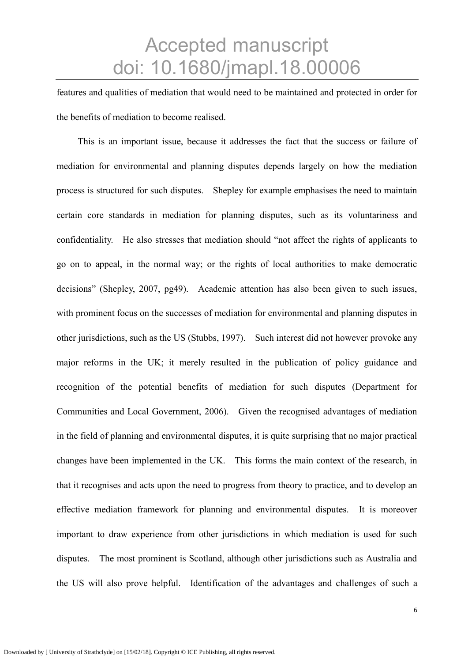features and qualities of mediation that would need to be maintained and protected in order for the benefits of mediation to become realised.

This is an important issue, because it addresses the fact that the success or failure of mediation for environmental and planning disputes depends largely on how the mediation process is structured for such disputes. Shepley for example emphasises the need to maintain certain core standards in mediation for planning disputes, such as its voluntariness and confidentiality. He also stresses that mediation should "not affect the rights of applicants to go on to appeal, in the normal way; or the rights of local authorities to make democratic decisions" (Shepley, 2007, pg49). Academic attention has also been given to such issues, with prominent focus on the successes of mediation for environmental and planning disputes in other jurisdictions, such as the US (Stubbs, 1997). Such interest did not however provoke any major reforms in the UK; it merely resulted in the publication of policy guidance and recognition of the potential benefits of mediation for such disputes (Department for Communities and Local Government, 2006). Given the recognised advantages of mediation in the field of planning and environmental disputes, it is quite surprising that no major practical changes have been implemented in the UK. This forms the main context of the research, in that it recognises and acts upon the need to progress from theory to practice, and to develop an effective mediation framework for planning and environmental disputes. It is moreover important to draw experience from other jurisdictions in which mediation is used for such disputes. The most prominent is Scotland, although other jurisdictions such as Australia and the US will also prove helpful. Identification of the advantages and challenges of such a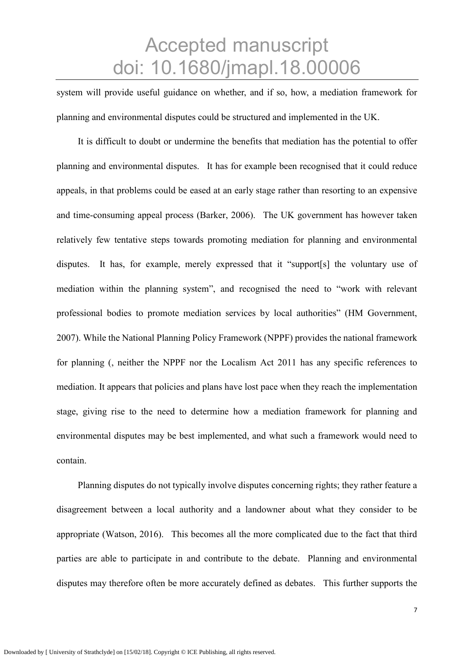system will provide useful guidance on whether, and if so, how, a mediation framework for planning and environmental disputes could be structured and implemented in the UK.

It is difficult to doubt or undermine the benefits that mediation has the potential to offer planning and environmental disputes. It has for example been recognised that it could reduce appeals, in that problems could be eased at an early stage rather than resorting to an expensive and time-consuming appeal process (Barker, 2006). The UK government has however taken relatively few tentative steps towards promoting mediation for planning and environmental disputes. It has, for example, merely expressed that it "support[s] the voluntary use of mediation within the planning system", and recognised the need to "work with relevant professional bodies to promote mediation services by local authorities" (HM Government, 2007). While the National Planning Policy Framework (NPPF) provides the national framework for planning (, neither the NPPF nor the Localism Act 2011 has any specific references to mediation. It appears that policies and plans have lost pace when they reach the implementation stage, giving rise to the need to determine how a mediation framework for planning and environmental disputes may be best implemented, and what such a framework would need to contain.

Planning disputes do not typically involve disputes concerning rights; they rather feature a disagreement between a local authority and a landowner about what they consider to be appropriate (Watson, 2016). This becomes all the more complicated due to the fact that third parties are able to participate in and contribute to the debate. Planning and environmental disputes may therefore often be more accurately defined as debates. This further supports the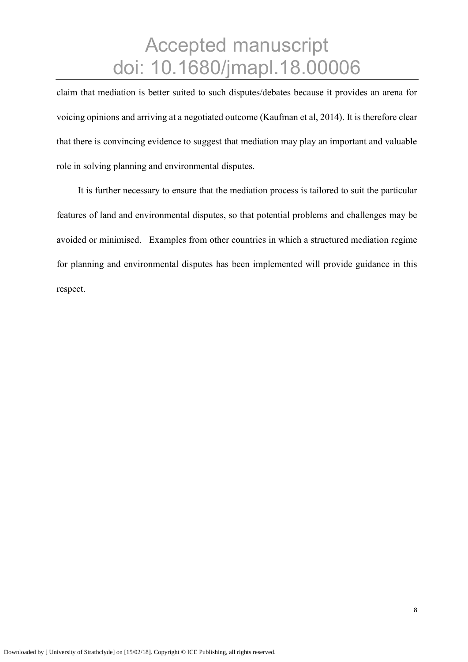claim that mediation is better suited to such disputes/debates because it provides an arena for voicing opinions and arriving at a negotiated outcome (Kaufman et al, 2014). It is therefore clear that there is convincing evidence to suggest that mediation may play an important and valuable role in solving planning and environmental disputes.

It is further necessary to ensure that the mediation process is tailored to suit the particular features of land and environmental disputes, so that potential problems and challenges may be avoided or minimised. Examples from other countries in which a structured mediation regime for planning and environmental disputes has been implemented will provide guidance in this respect.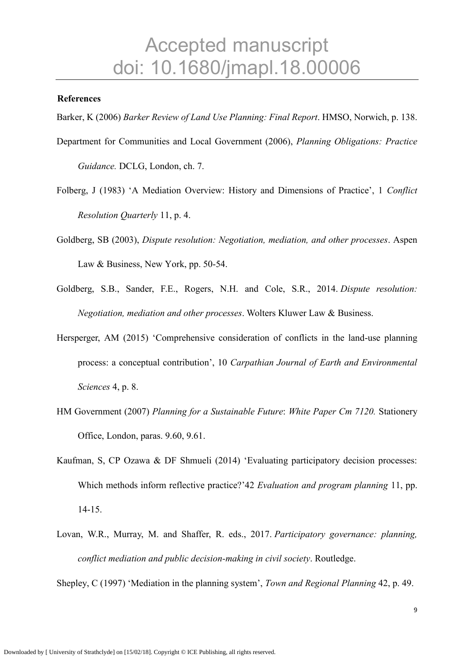#### **References**

Barker, K (2006) *Barker Review of Land Use Planning: Final Report*. HMSO, Norwich, p. 138.

- Department for Communities and Local Government (2006), *Planning Obligations: Practice Guidance.* DCLG, London, ch. 7.
- Folberg, J (1983) 'A Mediation Overview: History and Dimensions of Practice', 1 *Conflict Resolution Quarterly* 11, p. 4.
- Goldberg, SB (2003), *Dispute resolution: Negotiation, mediation, and other processes*. Aspen Law & Business, New York, pp. 50-54.
- Goldberg, S.B., Sander, F.E., Rogers, N.H. and Cole, S.R., 2014. *Dispute resolution: Negotiation, mediation and other processes*. Wolters Kluwer Law & Business.
- Hersperger, AM (2015) 'Comprehensive consideration of conflicts in the land-use planning process: a conceptual contribution', 10 *Carpathian Journal of Earth and Environmental Sciences* 4, p. 8.
- HM Government (2007) *Planning for a Sustainable Future*: *White Paper Cm 7120.* Stationery Office, London, paras. 9.60, 9.61.
- Kaufman, S, CP Ozawa & DF Shmueli (2014) 'Evaluating participatory decision processes: Which methods inform reflective practice?'42 *Evaluation and program planning* 11, pp. 14-15.
- Lovan, W.R., Murray, M. and Shaffer, R. eds., 2017. *Participatory governance: planning, conflict mediation and public decision-making in civil society*. Routledge.

Shepley, C (1997) 'Mediation in the planning system', *Town and Regional Planning* 42, p. 49.